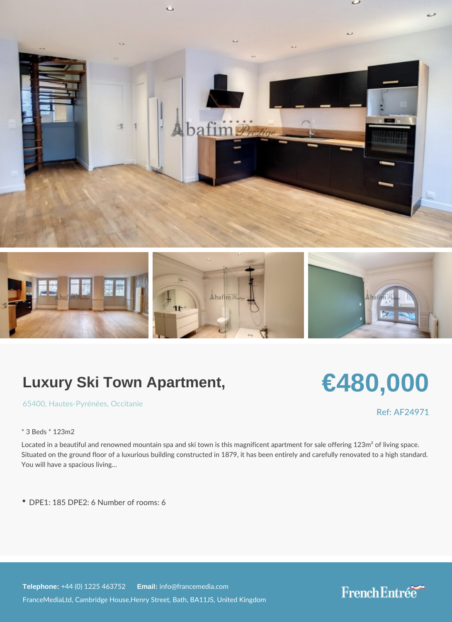# Luxury Ski Town Apartment,

[6540](https://www.frenchentree.com/property-for-sale/property-for-sale-france/65400-xx--xx-hautes-pyrenees-xx-occitanie)[, Hautes-Pyr](https://www.frenchentree.com/property-for-sale/property-for-sale-france/hautes-pyrenees-xx-occitanie), é Oncéceisanie

\* 3 Beds \* 123m2

Located in a beautiful and renowned mountain spa and ski town is this magnificent apar Situated on the ground floor of a luxurious building constructed in 1879, it has been en You will have a spacious living &

DPE1: 185 DPE2: 6 Number of rooms: 6

Telephone:  $+44$  (0) 1225 46 Ematilian fo@francemedia.com FranceMediaLtd, Cambridge House,Henry Street, Bath, BA11JS, United Kingdom

# €480,000

Ref: AF24971